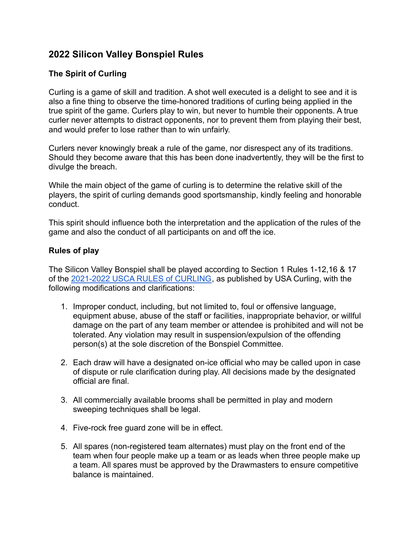## **2022 Silicon Valley Bonspiel Rules**

## **The Spirit of Curling**

Curling is a game of skill and tradition. A shot well executed is a delight to see and it is also a fine thing to observe the time-honored traditions of curling being applied in the true spirit of the game. Curlers play to win, but never to humble their opponents. A true curler never attempts to distract opponents, nor to prevent them from playing their best, and would prefer to lose rather than to win unfairly.

Curlers never knowingly break a rule of the game, nor disrespect any of its traditions. Should they become aware that this has been done inadvertently, they will be the first to divulge the breach.

While the main object of the game of curling is to determine the relative skill of the players, the spirit of curling demands good sportsmanship, kindly feeling and honorable conduct.

This spirit should influence both the interpretation and the application of the rules of the game and also the conduct of all participants on and off the ice.

## **Rules of play**

The Silicon Valley Bonspiel shall be played according to Section 1 Rules 1-12,16 & 17 of the [2021-2022 USCA RULES of CURLING](https://www.usacurling.org/s/2021-22-Rules-of-Curling-Comp-FD-111121.pdf), as published by USA Curling, with the following modifications and clarifications:

- 1. Improper conduct, including, but not limited to, foul or offensive language, equipment abuse, abuse of the staff or facilities, inappropriate behavior, or willful damage on the part of any team member or attendee is prohibited and will not be tolerated. Any violation may result in suspension/expulsion of the offending person(s) at the sole discretion of the Bonspiel Committee.
- 2. Each draw will have a designated on-ice official who may be called upon in case of dispute or rule clarification during play. All decisions made by the designated official are final.
- 3. All commercially available brooms shall be permitted in play and modern sweeping techniques shall be legal.
- 4. Five-rock free guard zone will be in effect.
- 5. All spares (non-registered team alternates) must play on the front end of the team when four people make up a team or as leads when three people make up a team. All spares must be approved by the Drawmasters to ensure competitive balance is maintained.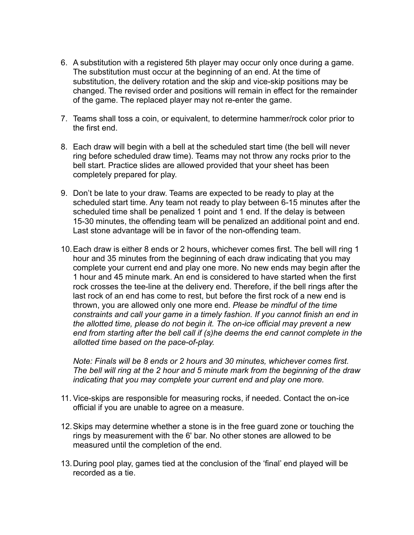- 6. A substitution with a registered 5th player may occur only once during a game. The substitution must occur at the beginning of an end. At the time of substitution, the delivery rotation and the skip and vice-skip positions may be changed. The revised order and positions will remain in effect for the remainder of the game. The replaced player may not re-enter the game.
- 7. Teams shall toss a coin, or equivalent, to determine hammer/rock color prior to the first end.
- 8. Each draw will begin with a bell at the scheduled start time (the bell will never ring before scheduled draw time). Teams may not throw any rocks prior to the bell start. Practice slides are allowed provided that your sheet has been completely prepared for play.
- 9. Don't be late to your draw. Teams are expected to be ready to play at the scheduled start time. Any team not ready to play between 6-15 minutes after the scheduled time shall be penalized 1 point and 1 end. If the delay is between 15-30 minutes, the offending team will be penalized an additional point and end. Last stone advantage will be in favor of the non-offending team.
- 10.Each draw is either 8 ends or 2 hours, whichever comes first. The bell will ring 1 hour and 35 minutes from the beginning of each draw indicating that you may complete your current end and play one more. No new ends may begin after the 1 hour and 45 minute mark. An end is considered to have started when the first rock crosses the tee-line at the delivery end. Therefore, if the bell rings after the last rock of an end has come to rest, but before the first rock of a new end is thrown, you are allowed only one more end. *Please be mindful of the time constraints and call your game in a timely fashion. If you cannot finish an end in the allotted time, please do not begin it. The on-ice official may prevent a new end from starting after the bell call if (s)he deems the end cannot complete in the allotted time based on the pace-of-play.*

*Note: Finals will be 8 ends or 2 hours and 30 minutes, whichever comes first. The bell will ring at the 2 hour and 5 minute mark from the beginning of the draw indicating that you may complete your current end and play one more.*

- 11. Vice-skips are responsible for measuring rocks, if needed. Contact the on-ice official if you are unable to agree on a measure.
- 12.Skips may determine whether a stone is in the free guard zone or touching the rings by measurement with the 6' bar. No other stones are allowed to be measured until the completion of the end.
- 13.During pool play, games tied at the conclusion of the 'final' end played will be recorded as a tie.